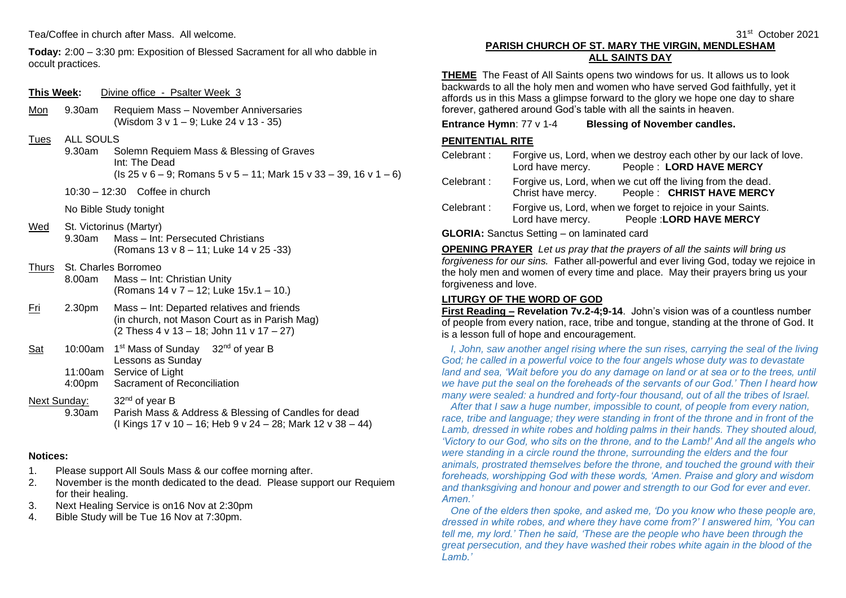Tea/Coffee in church after Mass. All welcome.

**Today:** 2:00 – 3:30 pm: Exposition of Blessed Sacrament for all who dabble in occult practices.

| Requiem Mass - November Anniversaries<br><u>Mon</u><br>9.30am<br>(Wisdom 3 v 1 - 9; Luke 24 v 13 - 35)<br><b>ALL SOULS</b><br><u>Tues</u><br>9.30am<br>Solemn Requiem Mass & Blessing of Graves<br>Int: The Dead<br>$10:30 - 12:30$ Coffee in church<br>No Bible Study tonight<br>St. Victorinus (Martyr)<br>Wed<br>9.30am<br>Mass - Int: Persecuted Christians<br>(Romans 13 v 8 - 11; Luke 14 v 25 -33)<br>St. Charles Borromeo<br><u>Thurs</u><br>8.00am<br>Mass - Int: Christian Unity<br>(Romans 14 v 7 - 12; Luke 15v.1 - 10.)<br>2.30 <sub>pm</sub><br>Mass – Int: Departed relatives and friends<br>Fri<br>(in church, not Mason Court as in Parish Mag)<br>(2 Thess 4 v 13 - 18; John 11 v 17 - 27)<br>1 <sup>st</sup> Mass of Sunday 32 <sup>nd</sup> of year B<br>10:00am<br><u>Sat</u><br>Lessons as Sunday<br>Service of Light<br>11:00am<br>Sacrament of Reconciliation<br>4:00pm<br>32 <sup>nd</sup> of year B<br><b>Next Sunday:</b><br>9.30am<br>Parish Mass & Address & Blessing of Candles for dead | <u>This Week:</u><br>Divine office - Psalter Week 3 |  |  |                                                            |  |
|------------------------------------------------------------------------------------------------------------------------------------------------------------------------------------------------------------------------------------------------------------------------------------------------------------------------------------------------------------------------------------------------------------------------------------------------------------------------------------------------------------------------------------------------------------------------------------------------------------------------------------------------------------------------------------------------------------------------------------------------------------------------------------------------------------------------------------------------------------------------------------------------------------------------------------------------------------------------------------------------------------------------|-----------------------------------------------------|--|--|------------------------------------------------------------|--|
|                                                                                                                                                                                                                                                                                                                                                                                                                                                                                                                                                                                                                                                                                                                                                                                                                                                                                                                                                                                                                        |                                                     |  |  |                                                            |  |
|                                                                                                                                                                                                                                                                                                                                                                                                                                                                                                                                                                                                                                                                                                                                                                                                                                                                                                                                                                                                                        |                                                     |  |  | (Is 25 v 6 - 9; Romans 5 v 5 - 11; Mark 15 v 33 - 39, 16 v |  |
|                                                                                                                                                                                                                                                                                                                                                                                                                                                                                                                                                                                                                                                                                                                                                                                                                                                                                                                                                                                                                        |                                                     |  |  |                                                            |  |
|                                                                                                                                                                                                                                                                                                                                                                                                                                                                                                                                                                                                                                                                                                                                                                                                                                                                                                                                                                                                                        |                                                     |  |  |                                                            |  |
|                                                                                                                                                                                                                                                                                                                                                                                                                                                                                                                                                                                                                                                                                                                                                                                                                                                                                                                                                                                                                        |                                                     |  |  |                                                            |  |
|                                                                                                                                                                                                                                                                                                                                                                                                                                                                                                                                                                                                                                                                                                                                                                                                                                                                                                                                                                                                                        |                                                     |  |  |                                                            |  |
|                                                                                                                                                                                                                                                                                                                                                                                                                                                                                                                                                                                                                                                                                                                                                                                                                                                                                                                                                                                                                        |                                                     |  |  |                                                            |  |
|                                                                                                                                                                                                                                                                                                                                                                                                                                                                                                                                                                                                                                                                                                                                                                                                                                                                                                                                                                                                                        |                                                     |  |  |                                                            |  |
|                                                                                                                                                                                                                                                                                                                                                                                                                                                                                                                                                                                                                                                                                                                                                                                                                                                                                                                                                                                                                        |                                                     |  |  |                                                            |  |
|                                                                                                                                                                                                                                                                                                                                                                                                                                                                                                                                                                                                                                                                                                                                                                                                                                                                                                                                                                                                                        |                                                     |  |  | (I Kings 17 v 10 - 16; Heb 9 v 24 - 28; Mark 12 v 38 - 44) |  |

#### **Notices:**

- 1. Please support All Souls Mass & our coffee morning after.
- 2. November is the month dedicated to the dead. Please support our Requiem for their healing.
- 3. Next Healing Service is on16 Nov at 2:30pm
- 4. Bible Study will be Tue 16 Nov at 7:30pm.

# **PARISH CHURCH OF ST. MARY THE VIRGIN, MENDLESHAM ALL SAINTS DAY**

**THEME** The Feast of All Saints opens two windows for us. It allows us to look backwards to all the holy men and women who have served God faithfully, yet it affords us in this Mass a glimpse forward to the glory we hope one day to share forever, gathered around God's table with all the saints in heaven.

# **Entrance Hymn**: 77 v 1-4 **Blessing of November candles.**

## **PENITENTIAL RITE**

 $(16 \vee 1 - 6)$ 

| Celebrant:                                | Lord have mercy.   | Forgive us, Lord, when we destroy each other by our lack of love.<br>People: LORD HAVE MERCY |  |  |  |
|-------------------------------------------|--------------------|----------------------------------------------------------------------------------------------|--|--|--|
| Celebrant:                                | Christ have mercy. | Forgive us, Lord, when we cut off the living from the dead.<br>People: CHRIST HAVE MERCY     |  |  |  |
| Celebrant:                                | Lord have mercy.   | Forgive us, Lord, when we forget to rejoice in your Saints.<br>People : LORD HAVE MERCY      |  |  |  |
| CLOBIA: Canatus Catting an Inminated pard |                    |                                                                                              |  |  |  |

**GLORIA:** Sanctus Setting – on laminated card

**OPENING PRAYER** *Let us pray that the prayers of all the saints will bring us forgiveness for our sins.* Father all-powerful and ever living God, today we rejoice in the holy men and women of every time and place. May their prayers bring us your forgiveness and love.

### **LITURGY OF THE WORD OF GOD**

**First Reading – Revelation 7v.2-4;9-14**. John's vision was of a countless number of people from every nation, race, tribe and tongue, standing at the throne of God. It is a lesson full of hope and encouragement.

*I, John, saw another angel rising where the sun rises, carrying the seal of the living God; he called in a powerful voice to the four angels whose duty was to devastate*  land and sea. 'Wait before you do any damage on land or at sea or to the trees, until *we have put the seal on the foreheads of the servants of our God.' Then I heard how many were sealed: a hundred and forty-four thousand, out of all the tribes of Israel.*

*After that I saw a huge number, impossible to count, of people from every nation, race, tribe and language; they were standing in front of the throne and in front of the Lamb, dressed in white robes and holding palms in their hands. They shouted aloud, 'Victory to our God, who sits on the throne, and to the Lamb!' And all the angels who were standing in a circle round the throne, surrounding the elders and the four animals, prostrated themselves before the throne, and touched the ground with their foreheads, worshipping God with these words, 'Amen. Praise and glory and wisdom and thanksgiving and honour and power and strength to our God for ever and ever. Amen.'*

*One of the elders then spoke, and asked me, 'Do you know who these people are, dressed in white robes, and where they have come from?' I answered him, 'You can tell me, my lord.' Then he said, 'These are the people who have been through the great persecution, and they have washed their robes white again in the blood of the Lamb.'*